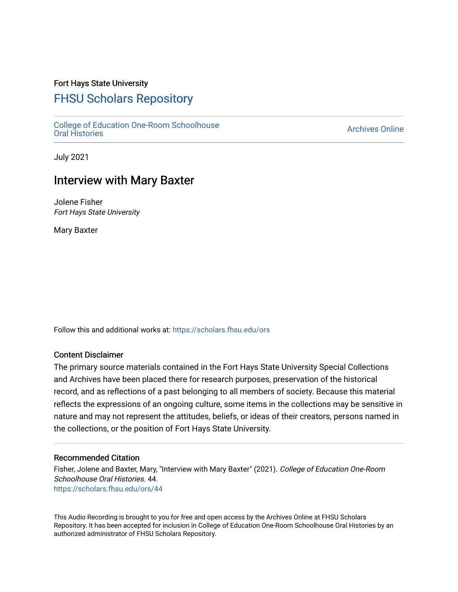## Fort Hays State University

# [FHSU Scholars Repository](https://scholars.fhsu.edu/)

[College of Education One-Room Schoolhouse](https://scholars.fhsu.edu/ors)<br>Oral Histories College of Education Orle-Room Schoolhouse<br>[Oral Histories](https://scholars.fhsu.edu/ors) Archives Online

July 2021

# Interview with Mary Baxter

Jolene Fisher Fort Hays State University

Mary Baxter

Follow this and additional works at: [https://scholars.fhsu.edu/ors](https://scholars.fhsu.edu/ors?utm_source=scholars.fhsu.edu%2Fors%2F44&utm_medium=PDF&utm_campaign=PDFCoverPages) 

### Content Disclaimer

The primary source materials contained in the Fort Hays State University Special Collections and Archives have been placed there for research purposes, preservation of the historical record, and as reflections of a past belonging to all members of society. Because this material reflects the expressions of an ongoing culture, some items in the collections may be sensitive in nature and may not represent the attitudes, beliefs, or ideas of their creators, persons named in the collections, or the position of Fort Hays State University.

#### Recommended Citation

Fisher, Jolene and Baxter, Mary, "Interview with Mary Baxter" (2021). College of Education One-Room Schoolhouse Oral Histories. 44. [https://scholars.fhsu.edu/ors/44](https://scholars.fhsu.edu/ors/44?utm_source=scholars.fhsu.edu%2Fors%2F44&utm_medium=PDF&utm_campaign=PDFCoverPages)

This Audio Recording is brought to you for free and open access by the Archives Online at FHSU Scholars Repository. It has been accepted for inclusion in College of Education One-Room Schoolhouse Oral Histories by an authorized administrator of FHSU Scholars Repository.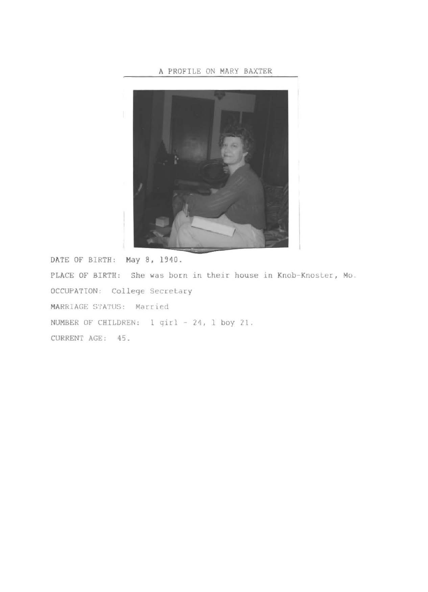### **A** PROFILE ON MARY BAXTER



DATE OF BIRTH: **May** 8, 1940. PLACE OF BIRTH: She was born in their house in Knob-Knoster, Mo. OCCUPATION: College Secretary MARRIAGE STATUS: Married NUMBER OF CHILDREN: 1 q1rl 24, 1 boy 21. CURRENT AGE: 45.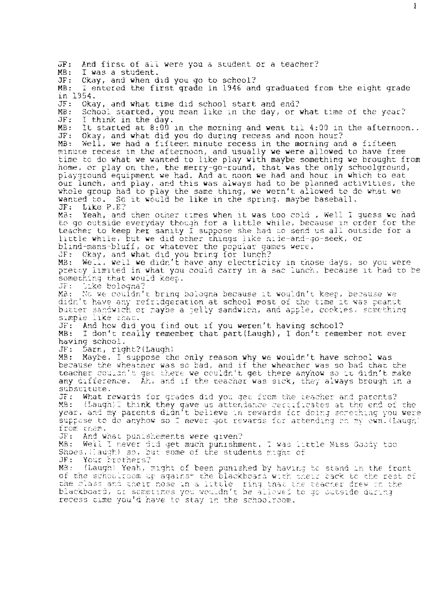$\overline{\text{OF}}$ : And first of all were you a student or a teacher?<br>MB: I was a student. MB: I was a student.<br>JF: Okay, and when d JF: Ckay, and when did you go to school? MB: I entered the first grade in 1946 and graduated from the eight grade<br>in 1954.<br>JF: Okay, and what time did school start and end? JF: Okay, and what time did school start and end? MB: School started, you mean like in the day, or what time of the year?<br>JF: I think in the day. JF: I think in the day.<br>MB: It started at 8:00 MB: It started at 8:00 in the morning and went til 4:00 in the afternoon..<br>JF: Okay, and what did you do during recess and noon hour?<br>MB: Well, we had a fifteen minute recess in the morning and a fifteen Well, we had a fifteen minute recess in the morning and a fifteen minute recess in the afternoon, and usually we were allowed to have free time to do what we wanted to like play with maybe something we brought from home, or play on the, the merry-go-round, that was the only schoolground, playground equipment we had. And at noon we had and hour in which to eat our lunch, and play, and this was always had to be planned activities, the whole group had to play the same thing, we wern't allowed to do what we wanted to. So it would be like in the spring, maybe baseball.<br>JF: Like P.E? Like P.E? MB: Yeah, and then other times when it was too cold, Well I guess we had to go outside everyday though for a little while, because in order for the teacher to keep her sanity I suppose she had to send us all outside for a little while, but we did other things like hide-and-go-seek, or blind-mans-bluff, or whatever the popular games were.<br>JF: Okay, and what did you bring for lunch? JF: Okay, and what did you bring for lunch?<br>MB: Well, well we didn't have any electrici Well. well we didn't have any electricity in those days, so you were pretty limited in what you could carry in a sac lunch, because it had to be something that would keep. JF: - Like bologna?<br>MB: - No we couldn' We we couldn't bring bologna because it wouldn't keep, because we didn't have any refridgeration at school most of the time it was peanut butter sandwich or maybe a jelly sandwich, and apple, cookies, something simple like that. JF: And how did you find out if you weren't having school?<br>MB: I don't really remember that nart(Laugh). I don't remem I don't really remember that part(Laugh), I don't remember not ever having school.<br>JF: Darn, rig JF: Darn, right?(Laugh)<br>MB: Maybe, I suppose th Maybe. I suppose the only reason why we wouldn't have school was because the wheather was so bad, and if the wheather was so bad that the teacher couldn't get there we couldn't get there anyhow so it didn't make any difference. Ah, and if the teacher was sick, they always brough in a substitute. OF: What rewards for grades did you get from the teacher and parents? MB:  $($ Laugh)I think they gave us attendance cercificates at the end of the year. and my parents didn't believe in rewards for doing scrething you were suppose to do anyhow so I never got rewards for attending on my own. (Laugh) from them. JF: And what punishements were qiven? MB: Well I never did get much punishment, I was little Miss Goody too Shoes.  $\{[a]{x}\}$  so, but some of the students  ${m}$ :  $q$ n $\sigma$  of JF: Your brothers? MB: (Laugh: Yeah, might of been punished by having to stand in the front of the schoolroom up against the blackboard with their back to the rest of the class and their nose in a little ring that the teacher drew on the the crace and their host in a fitter. This this the teacher drew in the recess time you'd have to stay in the schoolroom.

Ł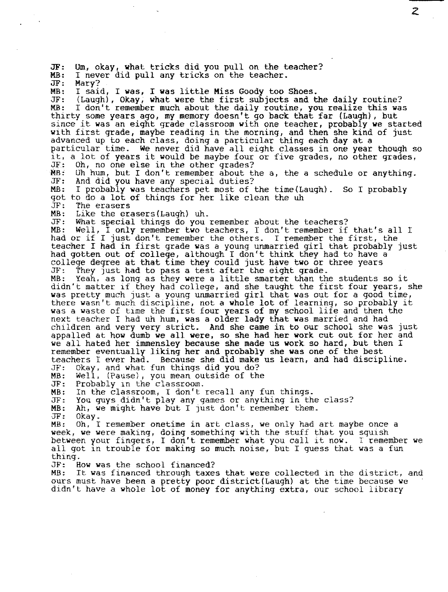JF: Um, okay, what tricks did you pull on the teacher? MB: I never did pull any tricks on the teacher.<br>JF: Mary? MB: I said, I was, I was little Miss Goody too Shoes.<br>JF: (Laugh), Okay, what were the first subjects and t JF: (Laugh), Okay; what were the first subjects and the daily routine? I don't remember much about the daily routine, you realize this was thirty some years ago, my memory doesn't go back that far (Laugh), but since it **was** an eight grade classroom with one teacher, probably **we** started with first grade, maybe reading in the morning, and then she kind of just advanced up to each class, doing a particular thing each day at a particular time. We never did have all eight classes in one year though so it, a lot of years it would be maybe four or five grades, no other grades, JF: Oh, no one else in the other grades?  $\overline{MB}:$  Uh hum, but I don't remember about the a, the a schedule or anything.<br>JF: And did you have any special duties? JF: And did you have any special duties? MB: I probably **was** teachers pet most of the time(Laugh). So I probably got to do a lot of things for her like clean the uh JF: The erasers **MB:** Like the erasers(Laugh) uh. JF: What special things do you remember about the teachers? Well, I only remember two teachers, I don't remember if that's all I had or if I just don't remember the others. I remember the first, the teacher I had in first grade was a young unmarried girl that probably just had gotten out of college, although I don't think they had to have a college degree at that time they could just have **two** or three years JF: They just had to pass a test after the eight grade. MB: Yeah, as long as they were a little smarter than the students so it didn't matter if they had college, and she taught the first four years, she was pretty much just a young unmarried girl that was out for a good time, there wasn't much discipline, not a whole lot of learning, so probably it was a waste of time the first four years of my school life and then the next teacher I had uh hum, was a older lady that was married and had children and very very strict. And she came in to our school she was just appalled at how dumb we all were, so she had her **work** cut out for her and we all hated her immensley because she made us **work.** so hard, but then I remember eventually liking her and probably she was one of the best teachers I ever had. Because she did make us learn, and had discipline. JF: Okay. and what fun things did you do? MB: Well, (Pause), you mean outside of the<br>JF: Probably in the classroom. JF: Probably in the classroom.<br>MB: In the classroom. I don't MB: In the classroom, I don't recall any fun things. JF: You guys didn't play any games or anything in the class?<br>MB: Ah, we might have but I just don't remember them. MB: Ah, we might have but I Just don't remember them. MB: Oh, I remember onetime in art class, we only had art maybe once a week, we were making, doing something with the stuff that you squish between your fingers, I don't remember what you call it now. I remember we all got in trouble for making so much noise, but I guess that was a fun thing.<br>JF: H JF: Bow was the school financed? It was financed through taxes that were collected in the district, and ours must have been a pretty poor district(Laugh) at the time because we

z

didn't have a whole lot of money for anything extra, our school library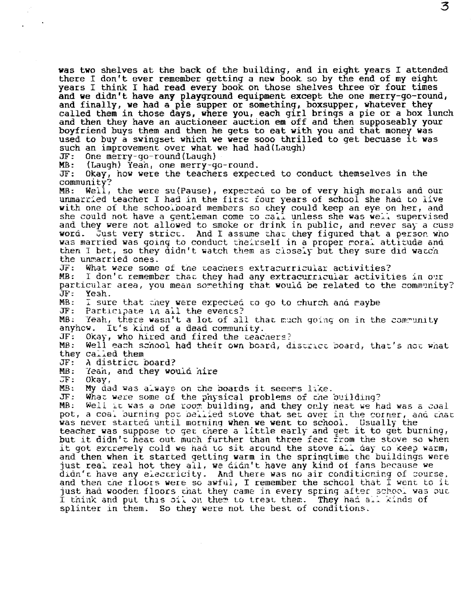was two shelves at the back of the building, and in eight years I attended there I don't ever remember getting a new book so by the end of my eight years I think I had read every book on those shelves three or four times and we didn't have any playground equipment except the one merry-go-round, and we didn't have any playground equipment except the one merry-go-round,<br>and finally, we had a pie supper or something, boxsupper, whatever they<br>called them in those days, where you, each girl brings a pie or a box lunch and then they have an auctioneer auction em off and then supposeably your boyfriend buys them and then he gets to eat with you and that money was boyfriend buys them and then he gets to eat with you and that money was<br>used to buy a swingset which we were sooo thrilled to get becuase it was such an improvement over what **we** had had(Laugh)

JF: One merry-go-round(Laugh)

**MB:** (Laugh) Yeah, one merry-go-round.

Okay, how were the teachers expected to conduct themselves in the community?<br>MB: Well.

Weil, the were su(Pause), expected to be of very high morals and our unmarried teacher I had in the first four years of school she had to live **with** one of the schoolboard members so they could keep an eye on her, and she could not have a gentleman come to call unless she was well supervised and they were not allowed to smoke or drink in public, and never say a cuss word. Just very strict. And I assume that they figured that a person wh Just very strict. And I assume that they figured that a person who was married was going to conduct theirself in a proper moral attitude and then I bet, so they didn't watch them as closely but they sure did watch the unmarried ones.<br>JF: What were some

JF: What were some of tile ceachers extracurricular activities?

I don't remember that they had any extracurricular activities in our particular area, you mean something that would be related to the community?<br>JF: Yeah. JF: Yeah.<br>MB: I sur

MB: I sure that they were expected to go to church and maybe<br>JF: Participate in all the events?

JF: Participate in all the events?<br>MB: Yeah. there wasn't a lot of al

MB: Yeah, there wasn't a lot of all that much going on in the community<br>anyhow. It's kind of a dead community.<br>JF: Okay, who hired and fired the teachers?

JF: Okay, who hired and fired the teachers?<br>MB: Well each school had their own board, d

Well each school had their own board, district board, that's not what they called them<br>JF: A district

JF: A district board?

MB: Tean, and they would hire<br>JF: Okay.

JF: Okay,<br>MB: Mv da

MB: **My dad was always on the boards it seeems like.**<br>JF: What were some of the physical problems of roe.

JF: What were some of the physical problems of the building?<br>MB: Well it was a phe room building, and they only heat we h

Well it was a one room building, and they only heat we had was a coal pot, a coal burning por beliled stove that set over in the corner, and that was never started until morning when we went to school. Usually the<br>teacher was suppose to get chere a little early and get it to get burning,<br>but it didn't heat out much further than three feet from the stove so when but it didn't heat out much further than three feet from the stove so when<br>it got extremely cold we had to sit around the stove all day to keep warm, and then when it started getting warm in the springtime the buildings were just real real hot they all, we didn't have any kind of fans because we didn't have any electricity. And there was no air conditioning of course. and then che floors were so awful, I remember the school that I went to it just had wooden floors chat they came in every spring after school was out I think and put this oil on them to treat them. They had all kinds of splinter in them. So they were not the best of conditions.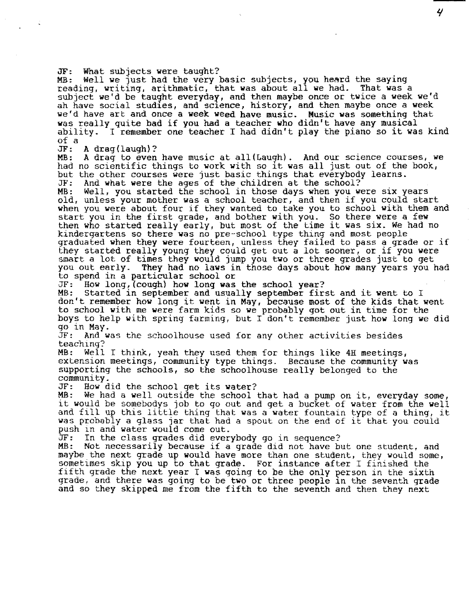JF: What subjects were taught?<br>MB: Well we just had the very basic subjects, you heard the saying<br>reading, writing, arithmatic, that was about all we had. That was a subject we'd be taught everyday, and then maybe once or twice a week we'd ah have social studies, and science, history, and then maybe once a week we'd have art and once a week weed have music. Music was something that was really quite bad if you had a teacher who didn't have any musical ability. I remember one teacher I had didn't play the piano so it was kind of a

A drag(laugh)?

MB: A drag to even have music at all(Laugh). And our science courses, we had no scientific things to work with so it was all just out of the book, but the other courses were just basic things that everybody learns.<br>JF: And what were the ages of the children at the school?

JF: And what were the ages of the children at the school?<br>MB: Well, you started the school in those days when you were six years old, unless your mother was a school teacher, and then if you could start when you were about four if they wanted to take you to school with them and start you were about four if they wanted to take you to sensor with the first start you in the first grade, and bother with you. So there were a few<br>then who started really early, but most of the time it was six. We had no kindergartens so there was no pre-school type thing and most people graduated when they were fourteen, unless they failed to pass a grade or if they started really young they could get out a lot sooner, or if you were smart a lot of times they would jump you two or three grades just to get you out early. They had no laws in those days about how many years you had to spend in a particular school or<br>JF: How long, (cough) how long was the school year?

MB: Started in september and usually september first and it went to I don't remember how long it went in May, because most of the kids that went to school **with** me were farm kids so **we** probably got out in time for the boys to help with spring farming, but I don't remember just **how** long we did go in May.

JF: And was the schoolhouse used for any other activities besides teaching?<br>MB: Well

Well I think, yeah they used them for things like  $4H$  meetings. extension meetings, community type things. Because the community supporting the schools, so the schoolhouse really belonged to the community. extension meetings, community type things. Because the community was

JF: **How** did the school get its water?

We had a well outside the school that had a pump on it, everyday some, it would be somebodys job to go out and get a bucket of water from the well and fill up this little thing that was a water fountain type of a thing, it was probably a glass jar that had a spout on the end of it that you could push in and water would come out.<br>JF: In the class grades did everybody go in sequence?

MB: Not necessarily because if a grade did not have but one student, and maybe the next grade up would have more than one student, they would some, sometimes skip you up to that grade. For instance after I finished the fifth grade the next year I **was** going to be the only person in the sixth and so they skipped me from the fifth to the seventh and then they next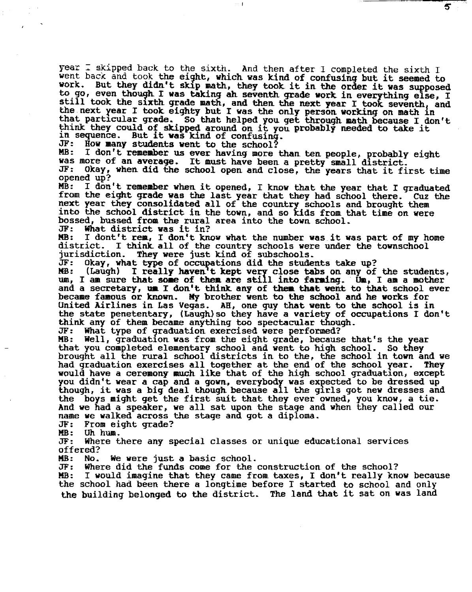year  $\overline{\bot}$  skipped back to the sixth. And then after I completed the sixth I went back and took the eight, which was kind of confusing but it seemed to work. But they didn't skip math, they took it in the order it was supposed to go, even though I was taking ah seventh grade work in everything else, I still took the sixth grade math, and then the next year I took seventh, and then. It is still took the sixth grade math, and then the next year I took seventh, and the next year I took eighty but I was the only person. working on math in that particular grade. So that helped you get through math because I don't think they could of skipped around on it you probably needed to take it in sequence. But it was kind of confusing.

5

JF: How many students went to the school?<br>MB: I don't remember us ever having more

I don't remember us ever having more than ten people, probably eight was more of an average. It must have been a pretty small district.<br>JF: Okay, when did the school open and close, the years that it fi Okay, when did the school open and close, the years that it first time

opened up?<br>MB: I don't remember when it opened, I know that the year that I graduated from the eight grade was the last year that they had school there. Cuz the next year they consolidated all of the country schools and brought them into the school district in the town, and so kids from that time on were bossed, bussed froa the rural area into the town school.

JF: What district was it in?

MB: I dont't rem, I don't know what the number was it was part of my home district. I think all of the country schools were under the townschool district. I think all of the country schools were under the townschool<br>jurisdiction. They were just kind of subschools. jurisdiction. They were just kind of subschools.<br>JF: Okav, what type of occupations did the stude

Okay, what type of occupations did the students take up?

MB: (Laugh) I really haven't kept very close tabs on any of the students, We did that is the some of them are still into farming. On, I am a mother and a secretary, **ua** I don't think. any of **thea that went** to that school ever becaae famous or **known. My** brother went to the school **and he works** for United Airlines in Las Vegas. AH., one guy that went to **the** school is in the state penetentary, (taugh)so they have a variety of occupations I don't think any of them became anything too spectacular though.

JF: What type of graduation exercised were performed? that you completed elementary school and went to high school. So they brought all the rural school districts in to the, the school in town and we had graduation exercises all together at the end of the school year. They would have a ceremony much like that of the high school graduation, except you didn't wear a cap and a gown, everybody was expected to be dressed up though, it was a big deal though because all the girls got new dresses and the boys might get the first suit that they ever owned, you know, a tie. And we had a speaker, **we** all sat upon the stage and when they called our name we walked across the stage and got a diploma.<br>JF: From eight grade?

JF: From eight grade?

**MB:** Uh hum.

Where there any special classes or unique educational services offered?<br>MB: No.

**MB:** No. We were just a basic school.

JF: Where did the funds come for the construction. of the school? I would imagine that they came from taxes, I don't really know because the school had been there a longtime before I started to school and only the building belonged to the district. The land that it sat on **was** land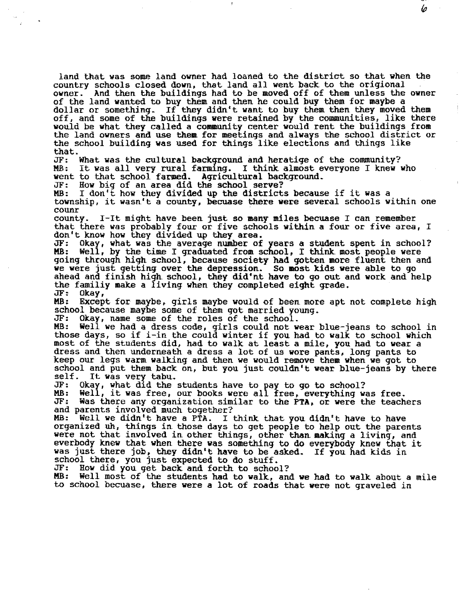land that was some land owner had loaned to the district so that when the country schools closed down, that land all went back to the origional<br>owner. And then the buildings had to be moved off of them unless the And then the buildings had to be moved off of them unless the owner of the land wanted to buy them and then he could buy them for maybe a dollar or something. If they didn't want to buy them then they moved them off, and some of the buildings were retained by the communities, like there would be what they called a community center would rent the buildings from the land owners and use them for meetings and always the school district or the school building was used for things like elections and things like

Ip

that.<br>JF: What was the cultural background and heratige of the community? MB: It was all very rural farming. I think almost everyone I knew who went to that school farmed. Agricultural background.<br>JF: How big of an area did the school serve?

JF: How big of an area did the school serve?<br>MB: I don't how they divided up the district

I don't how they divided up the districts because if it was a township, it wasn't a county, becuase there were several schools within one counr

county. I-It might have been just so many miles becuase I can remember that there was probably four or five schools **within** a four or five area, I don't know how they divided up they area.

JF: Okay, what was the average number of years a student spent in school? Well, by the time I graduated from school, I think most people were going through high school, because society had gotten more fluent then and we were just getting over the depression. So most kids were able to go<br>ahead and finish high school, they did'nt have to go out and work and help<br>the family make a living when they completed eight grade.<br>JF: Okay,<br>MB: Exce

school because maybe some of them got married young.<br>JF: Okay, name some of the roles of the school.<br>MB: Well we had a dress code, girls could not wear

Well we had a dress code, girls could not wear blue-jeans to school in those days, so if i-in the could winter if you had to walk to school which most of the students did, had to walk at least a mile, you had to wear a dress and then underneath a dress a lot of us wore pants, long pants to keep our legs warm walking and then we would remove them when we got to school and put them back on, but you just couldn't wear blue-jeans by there self. It was very tabu. self. It was very tabu.<br>JF: Okav. what did the

JF: Okay, what did the students have to pay to go to school?

MB: Well, it was free, our books were all free, everything was free.<br>JF: Was there any organization similar to the PTA, or were the teach JF: Was there any organization similar to the **PTA,** or were the teachers

MB: Well we didn't have a PTA. I think that you didn't have to have organized uh, things in those days to get people to help out the parents were not that involved in other things, other than making a living, and everbody knew that when there was something to do everybody knew that it was just there job, they didn't have to be asked. If you had kids in school there, you just expected to do stuff.<br>JF: How did you get back and forth to schoo

JF: How did you get back. and forth to school?

Well most of the students had to walk, and we had to walk about a mile to school becuase, there were a lot of roads that were not graveled in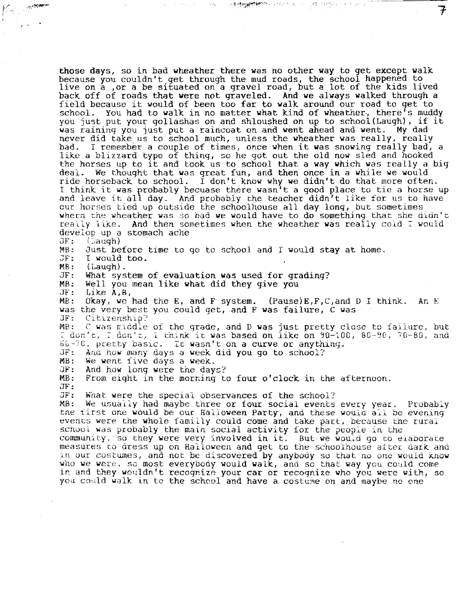those days, so in bad wheather there was no other **way** to get except walk because you couldn't get through the mud roads, the school happened to live on a ,or a be situated on a gravel road, but a lot of the kids lived back off of roads that were not graveled. And we always walked through a field because it would of been too far to walk around our road to get to school. You had to walk in no matter what kind of wheather, there's muddy you just put your gollashas on and shloushed on up to school(Laugh), if it was raining you just put a raincoat on and went ahead and went. **My** dad never did take us to school much, unless the wheather was really, really bad. I remember a couple of times, once when it was snowing really bad, a like a blizzard type of thing, so he got out the old now sled and hooked the horses up to it and took us to school that a **way** which was really a big deal. We thought that was great fun, and then once in a while we would ride horseback to school. I don't know why we didn't do that more often. I think it was probably becuase there wasn't a good place to tie a horse up and leave it all day. And probably the teacher didn't like for us to have our horses tied up outside the schoolhouse all day long, but sometimes whern the wheather was so bad we would have to do something that she didn't really like. And then sometimes when the wheather was really cold I would develop up a stomach ache<br>JF: (Laugh) JF: *{* '.aaugh) MB: Just before time to go to school and I would stay at home.<br>JF: I would too. I would too. MB: ( Laugh) . JF: What system of evaluation **was** used for grading? MB: Well you mean like what did they give you Like A,B, MB: Okay, we had the E, and F system. (Pause)E,F,C,and DI think. An E was the very best you could get, and F was failure, C was JF: Citizenship? JF: Citizenship?<br>MB: C was middle C was middle of the grade, and D was just pretty close to failure, but I don't, I don't, I think it was based on like on 90-100, 80-90, 70-80, and  $60 - 70$ , pretty basic. It wasn't on a curve or anything. JF: And how many days a week did you go to school?<br>MB: We went five days a week. MB: We went five days a week.<br>JF: And how long were the dav JF: And how long were the days? From eight in the morning to four o'clock in the afternoon. JF: JF: What were the special observances of the school? We usually had maybe three or four social events every year. Probably the first one would be our Halloween Party, and these would all be evening events were the whole familly could come and take part, because the rural school was probably the main social activity for the people in the community, so they were very involved in it. But we would go to elaborate measures to aress up on Halloween and get to the schoolhouse after dark anu in our costumes, and not be discovered by anybody so that no one would know who we were, so most everybody would walk, and so that way you could come ir. and they wouldn't recognize your cac or recognize who you were with, so you could walk in to the school and have a costume on and maybe no one

メ<del>キリ(Myserial) ののパイプ (</del> インター) ( )

(時の) KPM Park Form Country a

7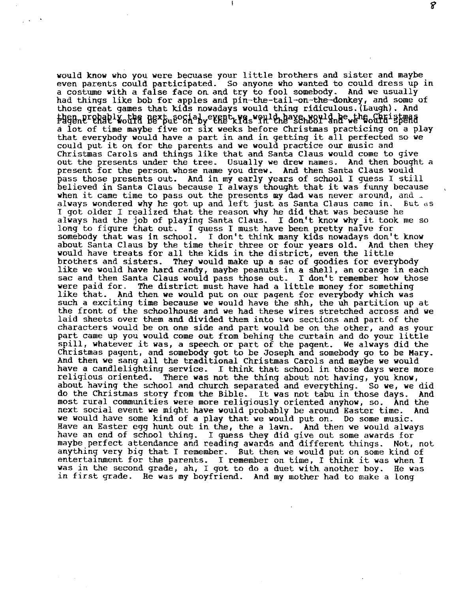would know who you were becuase your little brothers and sister and maybe even parents could participated. So anyone **who** wanted to could dress up in had things like bob for apples and pin-the-tail-on-the-donkey, and some of those great games that kids nowadays would thing ridiculous. (Laugh). And  $\frac{1}{2}$  is  $\frac{1}{2}$  and  $\frac{1}{2}$  and  $\frac{1}{2}$  and  $\frac{1}{2}$  and  $\frac{1}{2}$  and  $\frac{1}{2}$  and  $\frac{1}{2}$  and  $\frac{1}{2}$  and  $\frac{1}{2}$  and  $\frac{1}{2}$  and  $\frac{1}{2}$  and  $\frac{1}{2}$  and  $\frac{1}{2}$  and  $\frac{1}{2}$  and  $\frac{1}{2}$  an a lot of time maybe five or six weeks before Christmas practicing on a play that everybody would have a part in and in getting it all perfected so we that everybody would have a part in and in getting it all perfected so we could put it on for the parents and we would practice our music and Christmas Carols and things like that and Santa Claus would come to give out the presents under the tree. Usually we drew names. And then bought a present for the person whose name you drew. And then Santa Claus would pass those presents out. And in my early years of school I guess I still believed in Santa Claus because I always thought that it was funny because when it came time to pass out the presents my dad was never around, and  $\Box$ always wondered why he got up and left just as Santa Claus came in. But as I got older I realized that the reason why he did that was because he always had the job of playing Santa Claus. I don't know why it took me so long to figure that out. I guess I must have been pretty naive for somebody that was in school. I don't think many kids nowadays don't know about Santa Claus by the time their three or four years old. And then they about Santa Claus by the time their three or four years old. And then they<br>would have treats for all the kids in the district, even the little<br>brothers and sisters. They would make up a sac of goodies for everybody like we would have hard candy, maybe peanuts in a shell, an orange in each sac and then Santa Claus would pass those out. I don't remember how those were paid for. The district must have had a little money for something like that. And then we would put on our pagent for everybody which was such a exciting time because we would have the shh, the uh partition up at the front of the schoolhouse and we had these wires stretched across and we laid sheets over them and divided them into two sections and part of the characters would be on one side and part would be on the other, and as your part came up you would come out from behing the curtain and do your little part came up you would come out from behing the curtain and do your little<br>spill, whatever it was, a speech or part of the pagent. We always did the Christmas pagent, and somebody got to be Joseph and somebody go to be Mary.<br>And then we sang all the traditional Christmas Carols and maybe we would have a candlelighting service. I think that school in those days were more<br>religious oriented. There was not the thing about not having, you know, There was not the thing about not having, you know, about having the school and church separated and everything. So we, we did do the Christmas story from the Bible- It was not tabu in those days. And most rural communities were more religiously oriented anyhow, so. And the next social event we might have would probably be around Easter time. And we would have some kind of a play that we would put on. Do some music. Have an Easter egg hunt out in the, the a lawn. And then we would always have an end of school thing. I guess they did give out some awards for maybe perfect attendance and reading awards and different things. Not, not anything very big that I remember. But then we would put on some kind of entertainment for the parents. I remember on time, I think it was when I was in the second grade, ah, I got to do a duet with another boy. He was was in the second grade, ah, I got to do a duet with another boy. in first grade. He was *my* boyfriend. And my mother had to make a long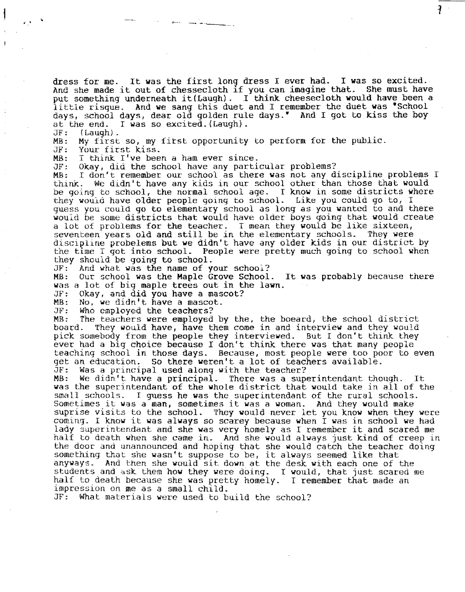dress for me. It was the first long dress I ever had. I was so excited. And she made it out of chessecloth if you can imagine that. She must have put something underneath it(Laugh). I think cheesecloth would have been a little risque. And **we** sang this duet and I remember the duet **was** •school days, school days, dear old golden rule days.• And I got to kiss the boy at the end. I was so excited.(Laugh).<br>JF: (Laugh).<br>MB: My first so, my first opportunity to perform for the public.<br>JF: Your first kiss.

┦

JF: Your first kiss.

MB: I think I've been a ham ever since.

JF: Okay, did the school have any particular problems?

MB: I don't remember our school as there was not any discipline problems I<br>think. We didn't have any kids in our school other than those that would We didn't have any kids in our school other than those that would be going to school, the normal school age. I know in some districts where they wouid have older people going to school. Like you could go to, I guess you could go to elementary school as long as you wanted to and there would be some districts that would have older boys going that would create a lot of problems for the teacher. I mean they would be like sixteen, seventeen years old and still be in the elementary schools. They were discipline probelems but we didn't have any older kids in our district by the time I got into school. People were pretty much going to school when they should be going to school.<br>JF: And what was the name of v

JF: And what was the name of your school?

Our school was the Maple Grove School. It was probably because there was a lot of big maple trees out in the lawn.<br>JF: Okav, and did vou have a mascot?

JF: Okay, and did you have a mascot?

MB: No, we didn't have a mascot.<br>JF: Who employed the teachers?

JF: Who employed the teachers?

MB: The teachers were employed by the, the boeard, the school district<br>board. They would have, have them come in and interview and they would They would have, have them come in and interview and they would pick somebody from the people they interviewed. But I don't think they ever had a big choice because I don't think there was that many people teaching school in those days. Because, most people were too poor to even get an education. So there weren't a lot of teachers available.<br>JF: Was a principal used along with the teacher?

JF: Was a principal used along with the teacher?

We didn't have a principal. There was a superintendant though. It was the superintendant of the whole district that would take in all of the small schools. I guess he was the superintendant of the rural schools. Sometimes it was a man, sometimes it was a woman. And they would make suprise visits to the school. They would never let you know when they were coming. I know it was always so scarey because when I was in school we had lady superintendant and she was very homely as I remember it and scared me half to death when she came in. And she would always just kind of creep in the door and unannounced and hoping that she would catch the teacher doing something that she wasn't suppose to be, it always seemed like that anyways. And then she would sit down at the desk with each one of the students and ask them how they were doing. I would, that just scared me half to death because she was pretty homely. I remember that made an impression on me as a small child.

JF: What materials were used to build the school?